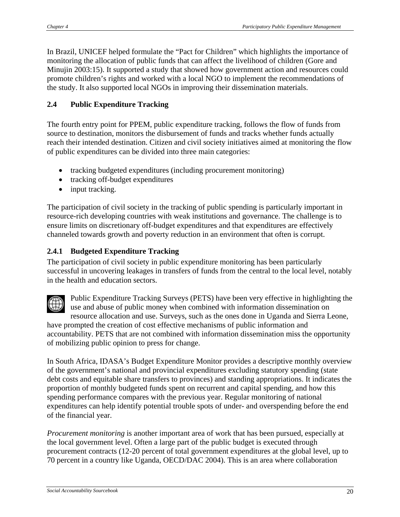In Brazil, UNICEF helped formulate the "Pact for Children" which highlights the importance of monitoring the allocation of public funds that can affect the livelihood of children (Gore and Minujin 2003:15). It supported a study that showed how government action and resources could promote children's rights and worked with a local NGO to implement the recommendations of the study. It also supported local NGOs in improving their dissemination materials.

## **2.4 Public Expenditure Tracking**

The fourth entry point for PPEM, public expenditure tracking, follows the flow of funds from source to destination, monitors the disbursement of funds and tracks whether funds actually reach their intended destination. Citizen and civil society initiatives aimed at monitoring the flow of public expenditures can be divided into three main categories:

- tracking budgeted expenditures (including procurement monitoring)
- tracking off-budget expenditures
- input tracking.

The participation of civil society in the tracking of public spending is particularly important in resource-rich developing countries with weak institutions and governance. The challenge is to ensure limits on discretionary off-budget expenditures and that expenditures are effectively channeled towards growth and poverty reduction in an environment that often is corrupt.

## **2.4.1 Budgeted Expenditure Tracking**

The participation of civil society in public expenditure monitoring has been particularly successful in uncovering leakages in transfers of funds from the central to the local level, notably in the health and education sectors.



Public Expenditure Tracking Surveys (PETS) have been very effective in highlighting t he use and abuse of public money when combined with information dissemination on resource allocation and use. Surveys, such as the ones done in Uganda and Sierra Leone, have prompted the creation of cost effective mechanisms of public information and

accountability. PETS that are not combined with information dissemination miss the opportunity of mobilizing public opinion to press for change.

In South Africa, IDASA's Budget Expenditure Monitor provides a descriptive monthly overview of the government's national and provincial expenditures excluding statutory spending (state debt costs and equitable share transfers to provinces) and standing appropriations. It indicates the proportion of monthly budgeted funds spent on recurrent and capital spending, and how this spending performance compares with the previous year. Regular monitoring of national expenditures can help identify potential trouble spots of under- and overspending before the end of the financial year.

*Procurement monitoring* is another important area of work that has been pursued, especially at the local government level. Often a large part of the public budget is executed through procurement contracts (12-20 percent of total government expenditures at the global level, up to 70 percent in a country like Uganda, OECD/DAC 2004). This is an area where collaboration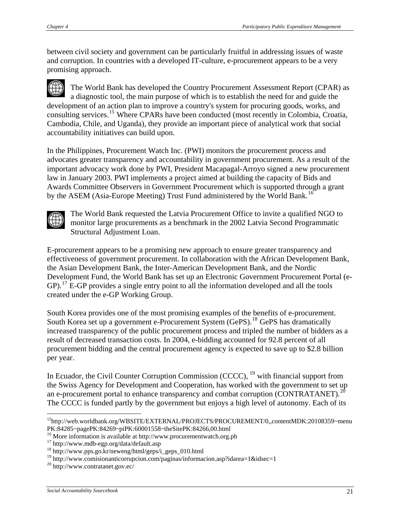between civil society and government can be particularly fruitful in addressing issues of waste and corruption. In countries with a developed IT-culture, e-procurement appears to be a very promising approach.

The World Bank has developed the Country Procurement Assessment Report (CPAR) as a diagnostic tool, the main purpose of which is to establish the need for and guide the development of an action plan to improve a country's system for procuring goods, works, and consulting services.[15](#page-1-0) Where CPARs have been conducted (most recently in Colombia, Croatia, Cambodia, Chile, and Uganda), they provide an important piece of analytical work that social accountability initiatives can build upon.

In the Philippines, Procurement Watch Inc. (PWI) monitors the procurement process and advocates greater transparency and accountability in government procurement. As a result of the important advocacy work done by PWI, President Macapagal-Arroyo signed a new procurement law in January 2003. PWI implements a project aimed at building the capacity of Bids and Awards Committee Observers in Government Procurement which is supported through a grant by the ASEM (Asia-Europe Meeting) Trust Fund administered by the World Bank.<sup>[16](#page-1-1)</sup>



<u>.</u>

The World Bank requested the Latvia Procurement Office to invite a qualified NGO to monitor large procurements as a benchmark in the 2002 Latvia Second Programmatic Structural Adjustment Loan.

E-procurement appears to be a promising new approach to ensure greater transparency and effectiveness of government procurement. In collaboration with the African Development Bank, the Asian Development Bank, the Inter-American Development Bank, and the Nordic Development Fund, the World Bank has set up an Electronic Government Procurement Portal (e- $GP$ ).<sup>[17](#page-1-2)</sup> E-GP provides a single entry point to all the information developed and all the tools created under the e-GP Working Group.

South Korea provides one of the most promising examples of the benefits of e-procurement. South Korea set up a government e-Procurement System (GePS).<sup>[18](#page-1-3)</sup> GePS has dramatically increased transparency of the public procurement process and tripled the number of bidders as a result of decreased transaction costs. In 2004, e-bidding accounted for 92.8 percent of all procurement bidding and the central procurement agency is expected to save up to \$2.8 billion per year.

In Ecuador, the Civil Counter Corruption Commission (CCCC),  $19$  with financial support from the Swiss Agency for Development and Cooperation, has worked with the government to set up an e-procurement portal to enhance transparency and combat corruption (CONTRATANET).<sup>[20](#page-1-5)</sup> The CCCC is funded partly by the government but enjoys a high level of autonomy. Each of its

<span id="page-1-0"></span><sup>&</sup>lt;sup>15</sup>http://web.worldbank.org/WBSITE/EXTERNAL/PROJECTS/PROCUREMENT/0,,contentMDK:20108359~menu PK:84285~pagePK:84269~piPK:60001558~theSitePK:84266,00.html

<span id="page-1-1"></span><sup>&</sup>lt;sup>16</sup> More information is available at http://www.procurementwatch.org.ph  $17$  http://www.mdb-egp.org/data/default.asp

<span id="page-1-2"></span>

<span id="page-1-3"></span><sup>18</sup> http://www.pps.go.kr/neweng/html/geps/i\_geps\_010.html

<span id="page-1-4"></span><sup>&</sup>lt;sup>19</sup> http://www.comisionanticorrupcion.com/paginas/informacion.asp?idarea=1&idsec=1  $^{20}$  http://www.contratanet.gov.ec/

<span id="page-1-5"></span>